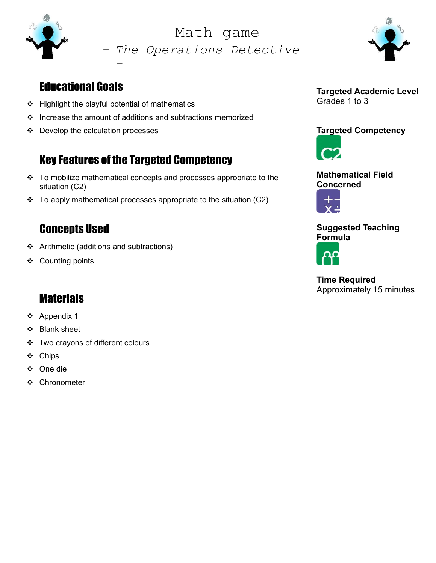

- The Operations Detective Math game



## Educational Goals

❖ Highlight the playful potential of mathematics

-

- $\div$  Increase the amount of additions and subtractions memorized
- $\div$  Develop the calculation processes

## Key Features of the Targeted Competency

- \* To mobilize mathematical concepts and processes appropriate to the situation (C2)
- $\div$  To apply mathematical processes appropriate to the situation (C2)

### Concepts Used

- ❖ Arithmetic (additions and subtractions)
- ❖ Counting points

## **Materials**

- Appendix 1
- ❖ Blank sheet
- ❖ Two crayons of different colours
- ❖ Chips
- One die
- ❖ Chronometer

Targeted Academic Level Grades 1 to 3

#### Targeted Competency





Mathematical Field Concerned



#### Suggested Teaching Formula



Time Required Approximately 15 minutes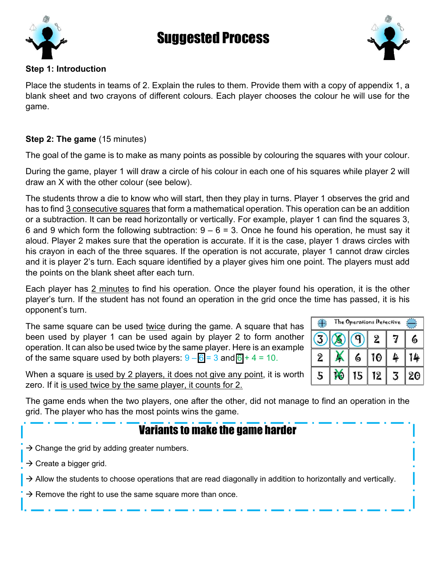

# Suggested Process



#### Step 1: Introduction

Place the students in teams of 2. Explain the rules to them. Provide them with a copy of appendix 1, a blank sheet and two crayons of different colours. Each player chooses the colour he will use for the game.

#### Step 2: The game (15 minutes)

The goal of the game is to make as many points as possible by colouring the squares with your colour.

During the game, player 1 will draw a circle of his colour in each one of his squares while player 2 will draw an X with the other colour (see below).

The students throw a die to know who will start, then they play in turns. Player 1 observes the grid and has to find 3 consecutive squares that form a mathematical operation. This operation can be an addition or a subtraction. It can be read horizontally or vertically. For example, player 1 can find the squares 3, 6 and 9 which form the following subtraction:  $9 - 6 = 3$ . Once he found his operation, he must say it aloud. Player 2 makes sure that the operation is accurate. If it is the case, player 1 draws circles with his crayon in each of the three squares. If the operation is not accurate, player 1 cannot draw circles and it is player 2's turn. Each square identified by a player gives him one point. The players must add the points on the blank sheet after each turn.

Each player has 2 minutes to find his operation. Once the player found his operation, it is the other player's turn. If the student has not found an operation in the grid once the time has passed, it is his opponent's turn.

The same square can be used twice during the game. A square that has been used by player 1 can be used again by player 2 to form another operation. It can also be used twice by the same player. Here is an example of the same square used by both players:  $9 - 6 = 3$  and  $6 + 4 = 10$ .

| The Operations Detective |  |   |    |    |    |  |  |
|--------------------------|--|---|----|----|----|--|--|
|                          |  |   | 2  |    | 6  |  |  |
| $\overline{2}$           |  | 6 | 10 | Ŀ. |    |  |  |
| 5                        |  | 5 | 12 |    | 20 |  |  |

When a square is used by 2 players, it does not give any point, it is worth zero. If it is used twice by the same player, it counts for 2.

The game ends when the two players, one after the other, did not manage to find an operation in the grid. The player who has the most points wins the game.

## Variants to make the game harder

- $\rightarrow$  Change the grid by adding greater numbers.
- $\rightarrow$  Create a bigger grid.
- $\rightarrow$  Allow the students to choose operations that are read diagonally in addition to horizontally and vertically.
- $\rightarrow$  Remove the right to use the same square more than once.